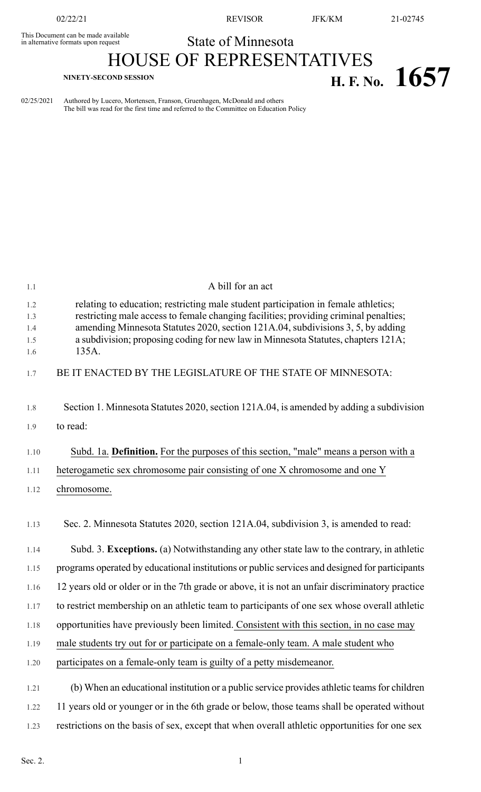This Document can be made available<br>in alternative formats upon request

02/22/21 REVISOR JFK/KM 21-02745

## State of Minnesota

# HOUSE OF REPRESENTATIVES **H. F.** No. **1657 H. F. No. 1657**

02/25/2021 Authored by Lucero, Mortensen, Franson, Gruenhagen, McDonald and others The bill was read for the first time and referred to the Committee on Education Policy

| 1.1                             | A bill for an act                                                                                                                                                                                                                                                                                                                                           |
|---------------------------------|-------------------------------------------------------------------------------------------------------------------------------------------------------------------------------------------------------------------------------------------------------------------------------------------------------------------------------------------------------------|
| 1.2<br>1.3<br>1.4<br>1.5<br>1.6 | relating to education; restricting male student participation in female athletics;<br>restricting male access to female changing facilities; providing criminal penalties;<br>amending Minnesota Statutes 2020, section 121A.04, subdivisions 3, 5, by adding<br>a subdivision; proposing coding for new law in Minnesota Statutes, chapters 121A;<br>135A. |
| 1.7                             | BE IT ENACTED BY THE LEGISLATURE OF THE STATE OF MINNESOTA:                                                                                                                                                                                                                                                                                                 |
| 1.8<br>1.9                      | Section 1. Minnesota Statutes 2020, section 121A.04, is amended by adding a subdivision<br>to read:                                                                                                                                                                                                                                                         |
| 1.10                            | Subd. 1a. Definition. For the purposes of this section, "male" means a person with a                                                                                                                                                                                                                                                                        |
| 1.11                            | heterogametic sex chromosome pair consisting of one X chromosome and one Y                                                                                                                                                                                                                                                                                  |
| 1.12                            | chromosome.                                                                                                                                                                                                                                                                                                                                                 |
| 1.13                            | Sec. 2. Minnesota Statutes 2020, section 121A.04, subdivision 3, is amended to read:                                                                                                                                                                                                                                                                        |
| 1.14                            | Subd. 3. Exceptions. (a) Notwithstanding any other state law to the contrary, in athletic                                                                                                                                                                                                                                                                   |
| 1.15                            | programs operated by educational institutions or public services and designed for participants                                                                                                                                                                                                                                                              |
| 1.16                            | 12 years old or older or in the 7th grade or above, it is not an unfair discriminatory practice                                                                                                                                                                                                                                                             |
| 1.17                            | to restrict membership on an athletic team to participants of one sex whose overall athletic                                                                                                                                                                                                                                                                |
| 1.18                            | opportunities have previously been limited. Consistent with this section, in no case may                                                                                                                                                                                                                                                                    |
| 1.19                            | male students try out for or participate on a female-only team. A male student who                                                                                                                                                                                                                                                                          |
| 1.20                            | participates on a female-only team is guilty of a petty misdemeanor.                                                                                                                                                                                                                                                                                        |
| 1.21                            | (b) When an educational institution or a public service provides athletic teams for children                                                                                                                                                                                                                                                                |
| 1.22                            | 11 years old or younger or in the 6th grade or below, those teams shall be operated without                                                                                                                                                                                                                                                                 |
| 1.23                            | restrictions on the basis of sex, except that when overall athletic opportunities for one sex                                                                                                                                                                                                                                                               |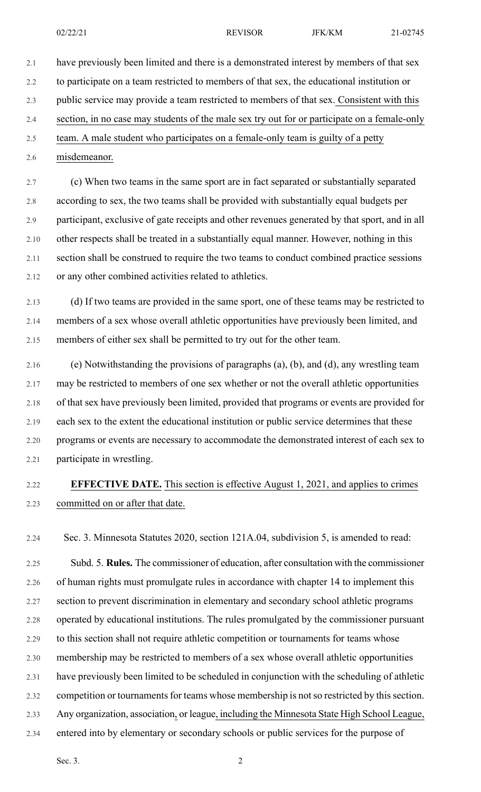2.1 have previously been limited and there is a demonstrated interest by members of that sex 2.2 to participate on a team restricted to members of that sex, the educational institution or 2.3 public service may provide a team restricted to members of that sex. Consistent with this 2.4 section, in no case may students of the male sex try out for or participate on a female-only 2.5 team. A male student who participates on a female-only team is guilty of a petty

2.6 misdemeanor.

2.7 (c) When two teams in the same sport are in fact separated or substantially separated 2.8 according to sex, the two teams shall be provided with substantially equal budgets per 2.9 participant, exclusive of gate receipts and other revenues generated by that sport, and in all 2.10 other respects shall be treated in a substantially equal manner. However, nothing in this 2.11 section shall be construed to require the two teams to conduct combined practice sessions 2.12 or any other combined activities related to athletics.

2.13 (d) If two teams are provided in the same sport, one of these teams may be restricted to 2.14 members of a sex whose overall athletic opportunities have previously been limited, and 2.15 members of either sex shall be permitted to try out for the other team.

2.16 (e) Notwithstanding the provisions of paragraphs (a), (b), and (d), any wrestling team 2.17 may be restricted to members of one sex whether or not the overall athletic opportunities 2.18 of that sex have previously been limited, provided that programs or events are provided for 2.19 each sex to the extent the educational institution or public service determines that these 2.20 programs or events are necessary to accommodate the demonstrated interest of each sex to 2.21 participate in wrestling.

#### 2.22 **EFFECTIVE DATE.** This section is effective August 1, 2021, and applies to crimes 2.23 committed on or after that date.

2.24 Sec. 3. Minnesota Statutes 2020, section 121A.04, subdivision 5, is amended to read:

2.25 Subd. 5. **Rules.** The commissioner of education, after consultation with the commissioner 2.26 of human rights must promulgate rules in accordance with chapter 14 to implement this 2.27 section to prevent discrimination in elementary and secondary school athletic programs 2.28 operated by educational institutions. The rules promulgated by the commissioner pursuant 2.29 to this section shall not require athletic competition or tournaments for teams whose 2.30 membership may be restricted to members of a sex whose overall athletic opportunities 2.31 have previously been limited to be scheduled in conjunction with the scheduling of athletic 2.32 competition or tournaments for teams whose membership is not so restricted by this section. 2.33 Any organization, association, or league, including the Minnesota State High School League, 2.34 entered into by elementary or secondary schools or public services for the purpose of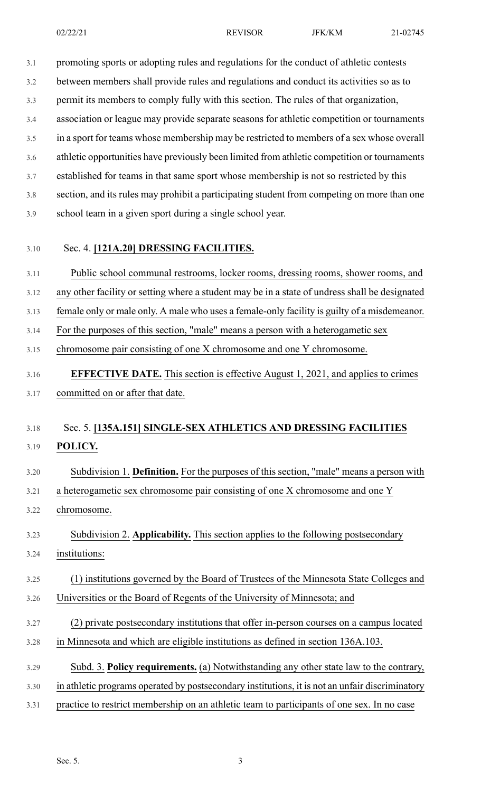3.1 promoting sports or adopting rules and regulations for the conduct of athletic contests 3.2 between members shall provide rules and regulations and conduct its activities so as to 3.3 permit its members to comply fully with this section. The rules of that organization, 3.4 association or league may provide separate seasons for athletic competition or tournaments

3.5 in a sport for teams whose membership may be restricted to members of a sex whose overall

3.6 athletic opportunities have previously been limited from athletic competition or tournaments

3.7 established for teams in that same sport whose membership is not so restricted by this

3.8 section, and its rules may prohibit a participating student from competing on more than one

- 3.9 school team in a given sport during a single school year.
- 

#### 3.10 Sec. 4. **[121A.20] DRESSING FACILITIES.**

3.11 Public school communal restrooms, locker rooms, dressing rooms, shower rooms, and

3.12 any other facility or setting where a student may be in a state of undress shall be designated

3.13 female only or male only. A male who uses a female-only facility is guilty of a misdemeanor.

3.14 For the purposes of this section, "male" means a person with a heterogametic sex

3.15 chromosome pair consisting of one X chromosome and one Y chromosome.

### 3.16 **EFFECTIVE DATE.** This section is effective August 1, 2021, and applies to crimes 3.17 committed on or after that date.

#### 3.18 Sec. 5. **[135A.151] SINGLE-SEX ATHLETICS AND DRESSING FACILITIES** 3.19 **POLICY.**

3.20 Subdivision 1. **Definition.** For the purposes of this section, "male" means a person with

3.21 a heterogametic sex chromosome pair consisting of one X chromosome and one Y

3.22 chromosome.

3.23 Subdivision 2. **Applicability.** This section applies to the following postsecondary

3.24 institutions:

3.25 (1) institutions governed by the Board of Trustees of the Minnesota State Colleges and 3.26 Universities or the Board of Regents of the University of Minnesota; and

- 3.27 (2) private postsecondary institutions that offer in-person courses on a campus located
- 3.28 in Minnesota and which are eligible institutions as defined in section 136A.103.
- 3.29 Subd. 3. **Policy requirements.** (a) Notwithstanding any other state law to the contrary,

3.30 in athletic programs operated by postsecondary institutions, it is not an unfair discriminatory

3.31 practice to restrict membership on an athletic team to participants of one sex. In no case